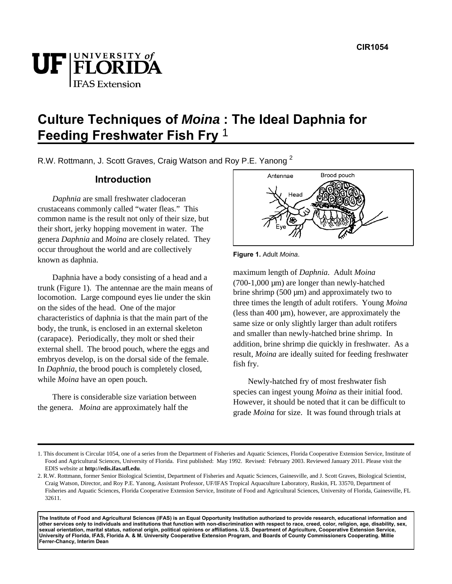

# **Culture Techniques of Moina : The Ideal Daphnia for Feeding Freshwater Fish Fry** <sup>1</sup>

R.W. Rottmann, J. Scott Graves, Craig Watson and Roy P.E. Yanong<sup>2</sup>

# **Introduction**

*Daphnia* are small freshwater cladoceran crustaceans commonly called "water fleas." This common name is the result not only of their size, but their short, jerky hopping movement in water. The genera *Daphnia* and *Moina* are closely related. They occur throughout the world and are collectively known as daphnia.

Daphnia have a body consisting of a head and a trunk (Figure 1). The antennae are the main means of locomotion. Large compound eyes lie under the skin on the sides of the head. One of the major characteristics of daphnia is that the main part of the body, the trunk, is enclosed in an external skeleton (carapace). Periodically, they molt or shed their external shell. The brood pouch, where the eggs and embryos develop, is on the dorsal side of the female. In *Daphnia*, the brood pouch is completely closed, while *Moina* have an open pouch.

There is considerable size variation between the genera. *Moina* are approximately half the



**Figure 1.** Adult Moina.

maximum length of *Daphnia*. Adult *Moina*  $(700-1,000 \mu m)$  are longer than newly-hatched brine shrimp  $(500 \mu m)$  and approximately two to three times the length of adult rotifers. Young *Moina*  (less than  $400 \mu m$ ), however, are approximately the same size or only slightly larger than adult rotifers and smaller than newly-hatched brine shrimp. In addition, brine shrimp die quickly in freshwater. As a result, *Moina* are ideally suited for feeding freshwater fish fry.

Newly-hatched fry of most freshwater fish species can ingest young *Moina* as their initial food. However, it should be noted that it can be difficult to grade *Moina* for size. It was found through trials at

**The Institute of Food and Agricultural Sciences (IFAS) is an Equal Opportunity Institution authorized to provide research, educational information and other services only to individuals and institutions that function with non-discrimination with respect to race, creed, color, religion, age, disability, sex, sexual orientation, marital status, national origin, political opinions or affiliations. U.S. Department of Agriculture, Cooperative Extension Service, University of Florida, IFAS, Florida A. & M. University Cooperative Extension Program, and Boards of County Commissioners Cooperating. Millie Ferrer-Chancy, Interim Dean**

<sup>1.</sup> This document is Circular 1054, one of a series from the Department of Fisheries and Aquatic Sciences, Florida Cooperative Extension Service, Institute of Food and Agricultural Sciences, University of Florida. First published: May 1992. Revised: February 2003. Reviewed January 2011. Please visit the EDIS website at **http://edis.ifas.ufl.edu**.

<sup>2.</sup> R.W. Rottmann, former Senior Biological Scientist, Department of Fisheries and Aquatic Sciences, Gainesville, and J. Scott Graves, Biological Scientist, Craig Watson, Director, and Roy P.E. Yanong, Assistant Professor, UF/IFAS Tropical Aquaculture Laboratory, Ruskin, FL 33570, Department of Fisheries and Aquatic Sciences, Florida Cooperative Extension Service, Institute of Food and Agricultural Sciences, University of Florida, Gainesville, FL 32611.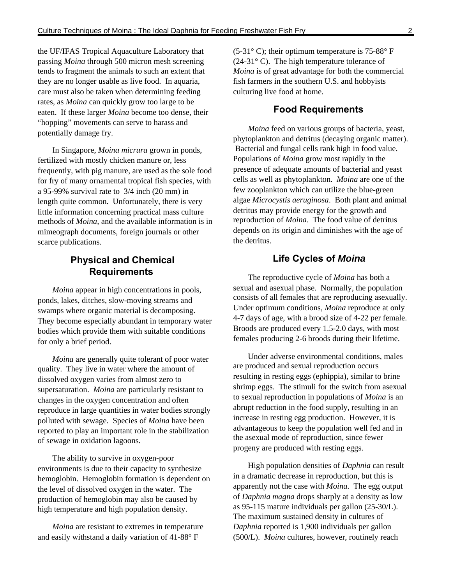the UF/IFAS Tropical Aquaculture Laboratory that passing *Moina* through 500 micron mesh screening tends to fragment the animals to such an extent that they are no longer usable as live food. In aquaria, care must also be taken when determining feeding rates, as *Moina* can quickly grow too large to be eaten. If these larger *Moina* become too dense, their "hopping" movements can serve to harass and potentially damage fry.

In Singapore, *Moina micrura* grown in ponds, fertilized with mostly chicken manure or, less frequently, with pig manure, are used as the sole food for fry of many ornamental tropical fish species, with a 95-99% survival rate to 3/4 inch (20 mm) in length quite common. Unfortunately, there is very little information concerning practical mass culture methods of *Moina*, and the available information is in mimeograph documents, foreign journals or other scarce publications.

# **Physical and Chemical Requirements**

*Moina* appear in high concentrations in pools, ponds, lakes, ditches, slow-moving streams and swamps where organic material is decomposing. They become especially abundant in temporary water bodies which provide them with suitable conditions for only a brief period.

*Moina* are generally quite tolerant of poor water quality. They live in water where the amount of dissolved oxygen varies from almost zero to supersaturation. *Moina* are particularly resistant to changes in the oxygen concentration and often reproduce in large quantities in water bodies strongly polluted with sewage. Species of *Moina* have been reported to play an important role in the stabilization of sewage in oxidation lagoons.

The ability to survive in oxygen-poor environments is due to their capacity to synthesize hemoglobin. Hemoglobin formation is dependent on the level of dissolved oxygen in the water. The production of hemoglobin may also be caused by high temperature and high population density.

*Moina* are resistant to extremes in temperature and easily withstand a daily variation of 41-88° F

 $(5-31° \text{ C})$ ; their optimum temperature is 75-88° F  $(24-31^{\circ} \text{ C})$ . The high temperature tolerance of *Moina* is of great advantage for both the commercial fish farmers in the southern U.S. and hobbyists culturing live food at home.

### **Food Requirements**

*Moina* feed on various groups of bacteria, yeast, phytoplankton and detritus (decaying organic matter). Bacterial and fungal cells rank high in food value. Populations of *Moina* grow most rapidly in the presence of adequate amounts of bacterial and yeast cells as well as phytoplankton. *Moina* are one of the few zooplankton which can utilize the blue-green algae *Microcystis aeruginosa*. Both plant and animal detritus may provide energy for the growth and reproduction of *Moina*. The food value of detritus depends on its origin and diminishes with the age of the detritus.

### **Life Cycles of Moina**

The reproductive cycle of *Moina* has both a sexual and asexual phase. Normally, the population consists of all females that are reproducing asexually. Under optimum conditions, *Moina* reproduce at only 4-7 days of age, with a brood size of 4-22 per female. Broods are produced every 1.5-2.0 days, with most females producing 2-6 broods during their lifetime.

Under adverse environmental conditions, males are produced and sexual reproduction occurs resulting in resting eggs (ephippia), similar to brine shrimp eggs. The stimuli for the switch from asexual to sexual reproduction in populations of *Moina* is an abrupt reduction in the food supply, resulting in an increase in resting egg production. However, it is advantageous to keep the population well fed and in the asexual mode of reproduction, since fewer progeny are produced with resting eggs.

High population densities of *Daphnia* can result in a dramatic decrease in reproduction, but this is apparently not the case with *Moina.* The egg output of *Daphnia magna* drops sharply at a density as low as 95-115 mature individuals per gallon (25-30/L). The maximum sustained density in cultures of *Daphnia* reported is 1,900 individuals per gallon (500/L). *Moina* cultures, however, routinely reach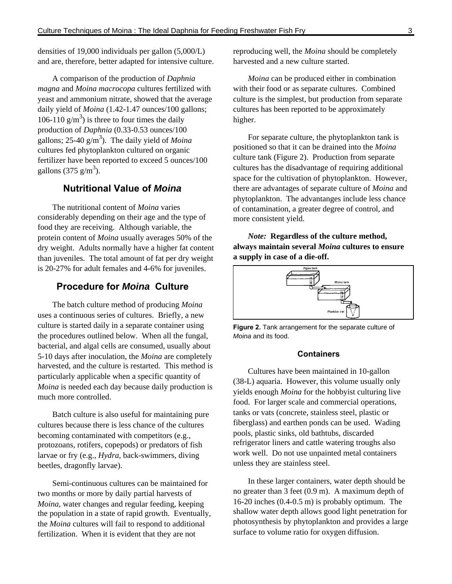densities of 19,000 individuals per gallon (5,000/L) and are, therefore, better adapted for intensive culture.

A comparison of the production of *Daphnia magna* and *Moina macrocopa* cultures fertilized with yeast and ammonium nitrate, showed that the average daily yield of *Moina* (1.42-1.47 ounces/100 gallons; 106-110  $g/m<sup>3</sup>$ ) is three to four times the daily production of *Daphnia* (0.33-0.53 ounces/100 gallons;  $25-40$  g/m<sup>3</sup>). The daily yield of *Moina* cultures fed phytoplankton cultured on organic fertilizer have been reported to exceed 5 ounces/100 gallons (375 g/m<sup>3</sup>).

# **Nutritional Value of Moina**

The nutritional content of *Moina* varies considerably depending on their age and the type of food they are receiving. Although variable, the protein content of *Moina* usually averages 50% of the dry weight. Adults normally have a higher fat content than juveniles. The total amount of fat per dry weight is 20-27% for adult females and 4-6% for juveniles.

## **Procedure for Moina Culture**

The batch culture method of producing *Moina*  uses a continuous series of cultures. Briefly, a new culture is started daily in a separate container using the procedures outlined below. When all the fungal, bacterial, and algal cells are consumed, usually about 5-10 days after inoculation, the *Moina* are completely harvested, and the culture is restarted. This method is particularly applicable when a specific quantity of *Moina* is needed each day because daily production is much more controlled.

Batch culture is also useful for maintaining pure cultures because there is less chance of the cultures becoming contaminated with competitors (e.g., protozoans, rotifers, copepods) or predators of fish larvae or fry (e.g., *Hydra*, back-swimmers, diving beetles, dragonfly larvae).

Semi-continuous cultures can be maintained for two months or more by daily partial harvests of *Moina*, water changes and regular feeding, keeping the population in a state of rapid growth. Eventually, the *Moina* cultures will fail to respond to additional fertilization. When it is evident that they are not

reproducing well, the *Moina* should be completely harvested and a new culture started.

*Moina* can be produced either in combination with their food or as separate cultures. Combined culture is the simplest, but production from separate cultures has been reported to be approximately higher.

For separate culture, the phytoplankton tank is positioned so that it can be drained into the *Moina*  culture tank (Figure 2). Production from separate cultures has the disadvantage of requiring additional space for the cultivation of phytoplankton. However, there are advantages of separate culture of *Moina* and phytoplankton. The advantanges include less chance of contamination, a greater degree of control, and more consistent yield.

*Note:* **Regardless of the culture method, always maintain several** *Moina* **cultures to ensure a supply in case of a die-off.**



**Figure 2.** Tank arrangement for the separate culture of Moina and its food.

#### **Containers**

Cultures have been maintained in 10-gallon (38-L) aquaria. However, this volume usually only yields enough *Moina* for the hobbyist culturing live food. For larger scale and commercial operations, tanks or vats (concrete, stainless steel, plastic or fiberglass) and earthen ponds can be used. Wading pools, plastic sinks, old bathtubs, discarded refrigerator liners and cattle watering troughs also work well. Do not use unpainted metal containers unless they are stainless steel.

In these larger containers, water depth should be no greater than 3 feet (0.9 m). A maximum depth of 16-20 inches (0.4-0.5 m) is probably optimum. The shallow water depth allows good light penetration for photosynthesis by phytoplankton and provides a large surface to volume ratio for oxygen diffusion.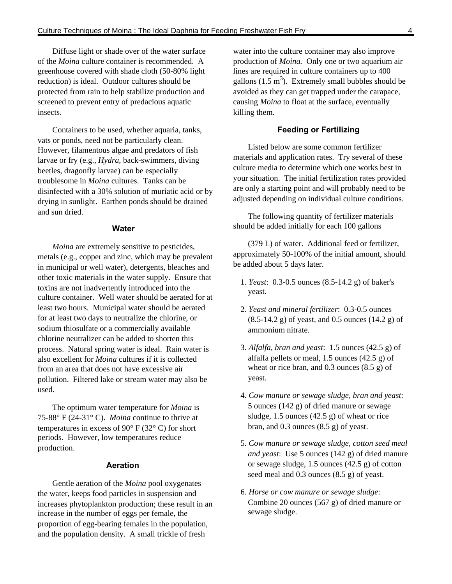Diffuse light or shade over of the water surface of the *Moina* culture container is recommended. A greenhouse covered with shade cloth (50-80% light reduction) is ideal. Outdoor cultures should be protected from rain to help stabilize production and screened to prevent entry of predacious aquatic insects.

Containers to be used, whether aquaria, tanks, vats or ponds, need not be particularly clean. However, filamentous algae and predators of fish larvae or fry (e.g., *Hydra*, back-swimmers, diving beetles, dragonfly larvae) can be especially troublesome in *Moina* cultures. Tanks can be disinfected with a 30% solution of muriatic acid or by drying in sunlight. Earthen ponds should be drained and sun dried.

#### **Water**

*Moina* are extremely sensitive to pesticides, metals (e.g., copper and zinc, which may be prevalent in municipal or well water), detergents, bleaches and other toxic materials in the water supply. Ensure that toxins are not inadvertently introduced into the culture container. Well water should be aerated for at least two hours. Municipal water should be aerated for at least two days to neutralize the chlorine, or sodium thiosulfate or a commercially available chlorine neutralizer can be added to shorten this process. Natural spring water is ideal. Rain water is also excellent for *Moina* cultures if it is collected from an area that does not have excessive air pollution. Filtered lake or stream water may also be used.

The optimum water temperature for *Moina* is 75-88° F (24-31° C). *Moina* continue to thrive at temperatures in excess of  $90^{\circ}$  F (32 $^{\circ}$  C) for short periods. However, low temperatures reduce production.

#### **Aeration**

Gentle aeration of the *Moina* pool oxygenates the water, keeps food particles in suspension and increases phytoplankton production; these result in an increase in the number of eggs per female, the proportion of egg-bearing females in the population, and the population density. A small trickle of fresh

water into the culture container may also improve production of *Moina.* Only one or two aquarium air lines are required in culture containers up to 400 gallons  $(1.5 \text{ m}^3)$ . Extremely small bubbles should be avoided as they can get trapped under the carapace, causing *Moina* to float at the surface, eventually killing them.

### **Feeding or Fertilizing**

Listed below are some common fertilizer materials and application rates. Try several of these culture media to determine which one works best in your situation. The initial fertilization rates provided are only a starting point and will probably need to be adjusted depending on individual culture conditions.

The following quantity of fertilizer materials should be added initially for each 100 gallons

 (379 L) of water. Additional feed or fertilizer, approximately 50-100% of the initial amount, should be added about 5 days later.

- 1. *Yeast*: 0.3-0.5 ounces (8.5-14.2 g) of baker's yeast.
- 2. *Yeast and mineral fertilizer*: 0.3-0.5 ounces (8.5-14.2 g) of yeast, and 0.5 ounces (14.2 g) of ammonium nitrate.
- 3. *Alfalfa, bran and yeast*: 1.5 ounces (42.5 g) of alfalfa pellets or meal, 1.5 ounces (42.5 g) of wheat or rice bran, and 0.3 ounces (8.5 g) of yeast.
- 4. *Cow manure or sewage sludge, bran and yeast*: 5 ounces (142 g) of dried manure or sewage sludge, 1.5 ounces (42.5 g) of wheat or rice bran, and  $0.3$  ounces  $(8.5 \text{ g})$  of yeast.
- 5. *Cow manure or sewage sludge, cotton seed meal and yeast*: Use 5 ounces (142 g) of dried manure or sewage sludge, 1.5 ounces (42.5 g) of cotton seed meal and 0.3 ounces (8.5 g) of yeast.
- 6. *Horse or cow manure or sewage sludge*: Combine 20 ounces (567 g) of dried manure or sewage sludge.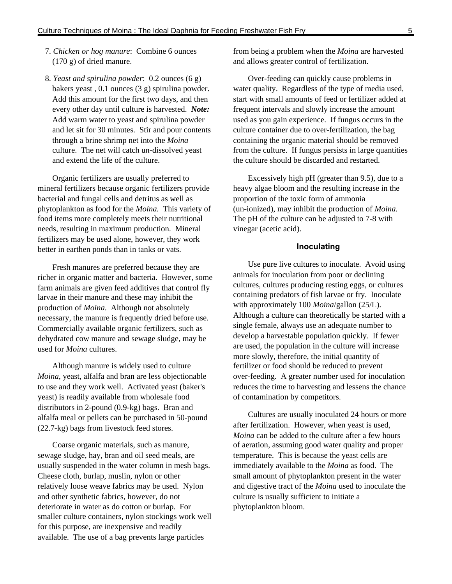- 7. *Chicken or hog manure*: Combine 6 ounces (170 g) of dried manure.
- 8. *Yeast and spirulina powder*: 0.2 ounces (6 g) bakers yeast , 0.1 ounces (3 g) spirulina powder. Add this amount for the first two days, and then every other day until culture is harvested. *Note:* Add warm water to yeast and spirulina powder and let sit for 30 minutes. Stir and pour contents through a brine shrimp net into the *Moina* culture. The net will catch un-dissolved yeast and extend the life of the culture.

Organic fertilizers are usually preferred to mineral fertilizers because organic fertilizers provide bacterial and fungal cells and detritus as well as phytoplankton as food for the *Moina.* This variety of food items more completely meets their nutritional needs, resulting in maximum production. Mineral fertilizers may be used alone, however, they work better in earthen ponds than in tanks or vats.

Fresh manures are preferred because they are richer in organic matter and bacteria. However, some farm animals are given feed additives that control fly larvae in their manure and these may inhibit the production of *Moina.* Although not absolutely necessary, the manure is frequently dried before use. Commercially available organic fertilizers, such as dehydrated cow manure and sewage sludge, may be used for *Moina* cultures.

Although manure is widely used to culture *Moina*, yeast, alfalfa and bran are less objectionable to use and they work well. Activated yeast (baker's yeast) is readily available from wholesale food distributors in 2-pound (0.9-kg) bags. Bran and alfalfa meal or pellets can be purchased in 50-pound (22.7-kg) bags from livestock feed stores.

Coarse organic materials, such as manure, sewage sludge, hay, bran and oil seed meals, are usually suspended in the water column in mesh bags. Cheese cloth, burlap, muslin, nylon or other relatively loose weave fabrics may be used. Nylon and other synthetic fabrics, however, do not deteriorate in water as do cotton or burlap. For smaller culture containers, nylon stockings work well for this purpose, are inexpensive and readily available. The use of a bag prevents large particles

from being a problem when the *Moina* are harvested and allows greater control of fertilization.

Over-feeding can quickly cause problems in water quality. Regardless of the type of media used, start with small amounts of feed or fertilizer added at frequent intervals and slowly increase the amount used as you gain experience. If fungus occurs in the culture container due to over-fertilization, the bag containing the organic material should be removed from the culture. If fungus persists in large quantities the culture should be discarded and restarted.

Excessively high pH (greater than 9.5), due to a heavy algae bloom and the resulting increase in the proportion of the toxic form of ammonia (un-ionized), may inhibit the production of *Moina.* The pH of the culture can be adjusted to 7-8 with vinegar (acetic acid).

#### **Inoculating**

Use pure live cultures to inoculate. Avoid using animals for inoculation from poor or declining cultures, cultures producing resting eggs, or cultures containing predators of fish larvae or fry. Inoculate with approximately 100 *Moina*/gallon (25/L). Although a culture can theoretically be started with a single female, always use an adequate number to develop a harvestable population quickly. If fewer are used, the population in the culture will increase more slowly, therefore, the initial quantity of fertilizer or food should be reduced to prevent over-feeding. A greater number used for inoculation reduces the time to harvesting and lessens the chance of contamination by competitors.

Cultures are usually inoculated 24 hours or more after fertilization. However, when yeast is used, *Moina* can be added to the culture after a few hours of aeration, assuming good water quality and proper temperature. This is because the yeast cells are immediately available to the *Moina* as food. The small amount of phytoplankton present in the water and digestive tract of the *Moina* used to inoculate the culture is usually sufficient to initiate a phytoplankton bloom.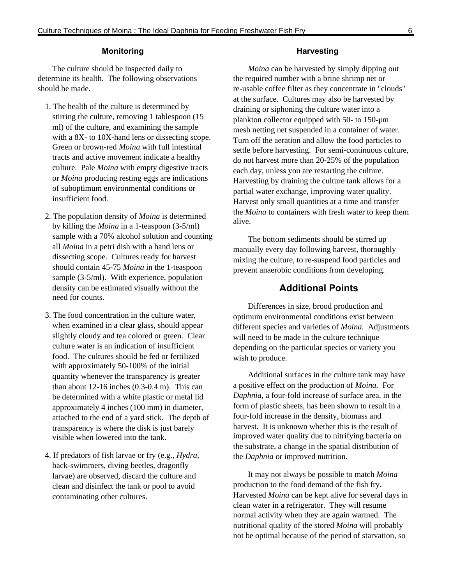#### **Monitoring**

The culture should be inspected daily to determine its health. The following observations should be made.

- 1. The health of the culture is determined by stirring the culture, removing 1 tablespoon (15 ml) of the culture, and examining the sample with a 8X- to 10X-hand lens or dissecting scope. Green or brown-red *Moina* with full intestinal tracts and active movement indicate a healthy culture. Pale *Moina* with empty digestive tracts or *Moina* producing resting eggs are indications of suboptimum environmental conditions or insufficient food.
- 2. The population density of *Moina* is determined by killing the *Moina* in a 1-teaspoon (3-5/ml) sample with a 70% alcohol solution and counting all *Moina* in a petri dish with a hand lens or dissecting scope. Cultures ready for harvest should contain 45-75 *Moina* in the 1-teaspoon sample (3-5/ml). With experience, population density can be estimated visually without the need for counts.
- 3. The food concentration in the culture water, when examined in a clear glass, should appear slightly cloudy and tea colored or green. Clear culture water is an indication of insufficient food. The cultures should be fed or fertilized with approximately 50-100% of the initial quantity whenever the transparency is greater than about  $12-16$  inches  $(0.3-0.4 \text{ m})$ . This can be determined with a white plastic or metal lid approximately 4 inches (100 mm) in diameter, attached to the end of a yard stick. The depth of transparency is where the disk is just barely visible when lowered into the tank.
- 4. If predators of fish larvae or fry (e.g., *Hydra*, back-swimmers, diving beetles, dragonfly larvae) are observed, discard the culture and clean and disinfect the tank or pool to avoid contaminating other cultures.

#### **Harvesting**

*Moina* can be harvested by simply dipping out the required number with a brine shrimp net or re-usable coffee filter as they concentrate in "clouds" at the surface. Cultures may also be harvested by draining or siphoning the culture water into a plankton collector equipped with 50- to 150-µm mesh netting net suspended in a container of water. Turn off the aeration and allow the food particles to settle before harvesting. For semi-continuous culture, do not harvest more than 20-25% of the population each day, unless you are restarting the culture. Harvesting by draining the culture tank allows for a partial water exchange, improving water quality. Harvest only small quantities at a time and transfer the *Moina* to containers with fresh water to keep them alive.

The bottom sediments should be stirred up manually every day following harvest, thoroughly mixing the culture, to re-suspend food particles and prevent anaerobic conditions from developing.

### **Additional Points**

Differences in size, brood production and optimum environmental conditions exist between different species and varieties of *Moina.* Adjustments will need to be made in the culture technique depending on the particular species or variety you wish to produce.

Additional surfaces in the culture tank may have a positive effect on the production of *Moina.* For *Daphnia*, a four-fold increase of surface area, in the form of plastic sheets, has been shown to result in a four-fold increase in the density, biomass and harvest. It is unknown whether this is the result of improved water quality due to nitrifying bacteria on the substrate, a change in the spatial distribution of the *Daphnia* or improved nutrition.

It may not always be possible to match *Moina*  production to the food demand of the fish fry. Harvested *Moina* can be kept alive for several days in clean water in a refrigerator. They will resume normal activity when they are again warmed. The nutritional quality of the stored *Moina* will probably not be optimal because of the period of starvation, so